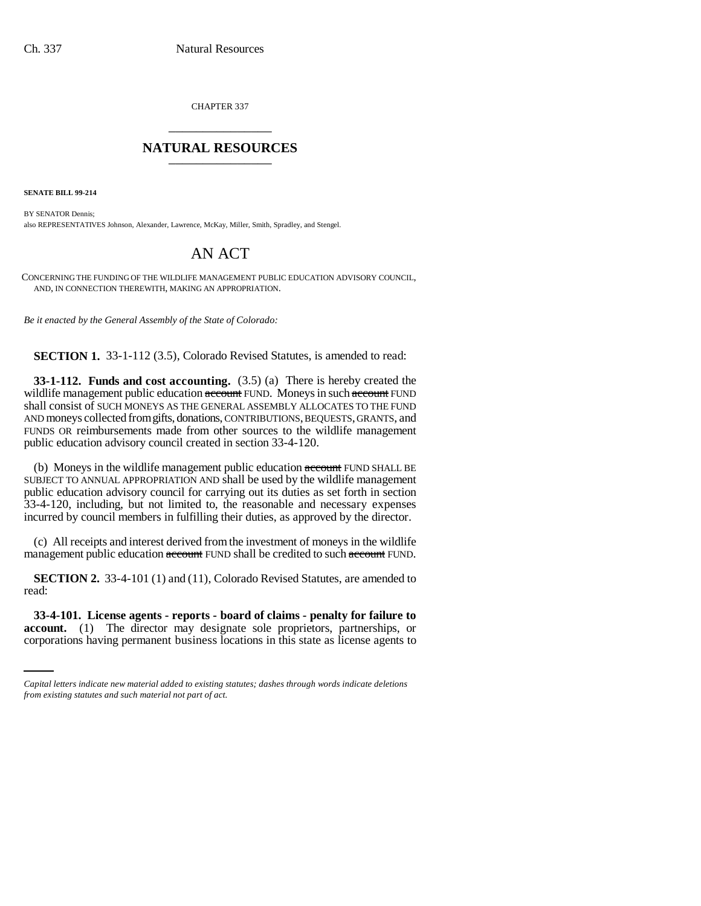CHAPTER 337 \_\_\_\_\_\_\_\_\_\_\_\_\_\_\_

## **NATURAL RESOURCES** \_\_\_\_\_\_\_\_\_\_\_\_\_\_\_

**SENATE BILL 99-214**

BY SENATOR Dennis; also REPRESENTATIVES Johnson, Alexander, Lawrence, McKay, Miller, Smith, Spradley, and Stengel.

## AN ACT

CONCERNING THE FUNDING OF THE WILDLIFE MANAGEMENT PUBLIC EDUCATION ADVISORY COUNCIL, AND, IN CONNECTION THEREWITH, MAKING AN APPROPRIATION.

*Be it enacted by the General Assembly of the State of Colorado:*

**SECTION 1.** 33-1-112 (3.5), Colorado Revised Statutes, is amended to read:

**33-1-112. Funds and cost accounting.** (3.5) (a) There is hereby created the wildlife management public education account FUND. Moneys in such account FUND shall consist of SUCH MONEYS AS THE GENERAL ASSEMBLY ALLOCATES TO THE FUND AND moneys collected from gifts, donations, CONTRIBUTIONS, BEQUESTS, GRANTS, and FUNDS OR reimbursements made from other sources to the wildlife management public education advisory council created in section 33-4-120.

(b) Moneys in the wildlife management public education account FUND SHALL BE SUBJECT TO ANNUAL APPROPRIATION AND shall be used by the wildlife management public education advisory council for carrying out its duties as set forth in section 33-4-120, including, but not limited to, the reasonable and necessary expenses incurred by council members in fulfilling their duties, as approved by the director.

(c) All receipts and interest derived from the investment of moneys in the wildlife management public education account FUND shall be credited to such account FUND.

**SECTION 2.** 33-4-101 (1) and (11), Colorado Revised Statutes, are amended to read:

 **33-4-101. License agents - reports - board of claims - penalty for failure to account.** (1) The director may designate sole proprietors, partnerships, or corporations having permanent business locations in this state as license agents to

*Capital letters indicate new material added to existing statutes; dashes through words indicate deletions from existing statutes and such material not part of act.*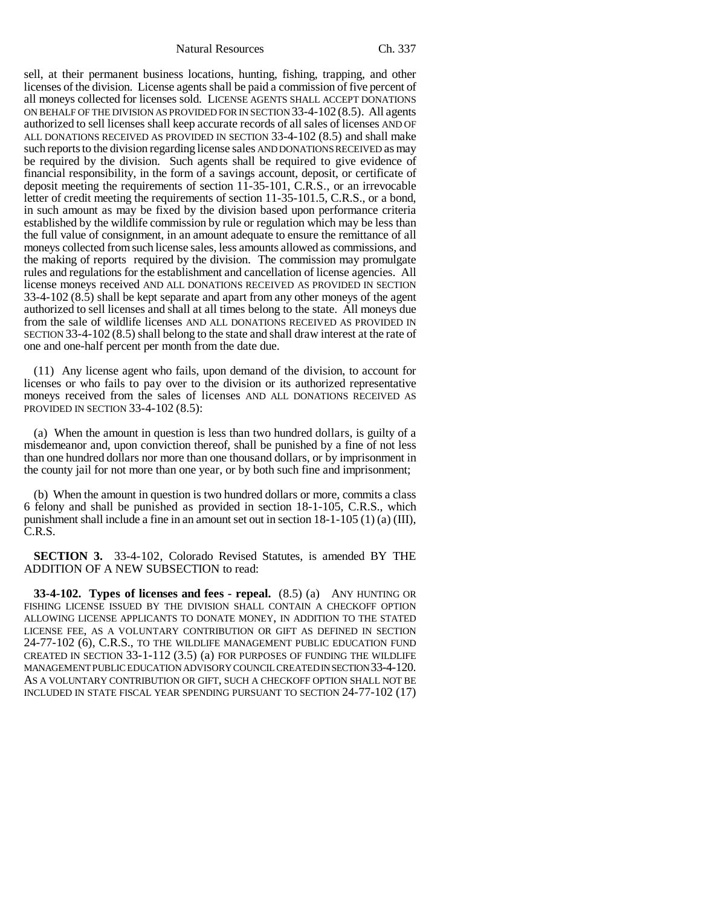Natural Resources Ch. 337

sell, at their permanent business locations, hunting, fishing, trapping, and other licenses of the division. License agents shall be paid a commission of five percent of all moneys collected for licenses sold. LICENSE AGENTS SHALL ACCEPT DONATIONS ON BEHALF OF THE DIVISION AS PROVIDED FOR IN SECTION 33-4-102 (8.5). All agents authorized to sell licenses shall keep accurate records of all sales of licenses AND OF ALL DONATIONS RECEIVED AS PROVIDED IN SECTION 33-4-102 (8.5) and shall make such reports to the division regarding license sales AND DONATIONS RECEIVED as may be required by the division. Such agents shall be required to give evidence of financial responsibility, in the form of a savings account, deposit, or certificate of deposit meeting the requirements of section 11-35-101, C.R.S., or an irrevocable letter of credit meeting the requirements of section 11-35-101.5, C.R.S., or a bond, in such amount as may be fixed by the division based upon performance criteria established by the wildlife commission by rule or regulation which may be less than the full value of consignment, in an amount adequate to ensure the remittance of all moneys collected from such license sales, less amounts allowed as commissions, and the making of reports required by the division. The commission may promulgate rules and regulations for the establishment and cancellation of license agencies. All license moneys received AND ALL DONATIONS RECEIVED AS PROVIDED IN SECTION 33-4-102 (8.5) shall be kept separate and apart from any other moneys of the agent authorized to sell licenses and shall at all times belong to the state. All moneys due from the sale of wildlife licenses AND ALL DONATIONS RECEIVED AS PROVIDED IN SECTION 33-4-102 (8.5) shall belong to the state and shall draw interest at the rate of one and one-half percent per month from the date due.

(11) Any license agent who fails, upon demand of the division, to account for licenses or who fails to pay over to the division or its authorized representative moneys received from the sales of licenses AND ALL DONATIONS RECEIVED AS PROVIDED IN SECTION 33-4-102 (8.5):

(a) When the amount in question is less than two hundred dollars, is guilty of a misdemeanor and, upon conviction thereof, shall be punished by a fine of not less than one hundred dollars nor more than one thousand dollars, or by imprisonment in the county jail for not more than one year, or by both such fine and imprisonment;

(b) When the amount in question is two hundred dollars or more, commits a class 6 felony and shall be punished as provided in section 18-1-105, C.R.S., which punishment shall include a fine in an amount set out in section 18-1-105 (1) (a) (III), C.R.S.

**SECTION 3.** 33-4-102, Colorado Revised Statutes, is amended BY THE ADDITION OF A NEW SUBSECTION to read:

**33-4-102. Types of licenses and fees - repeal.** (8.5) (a) ANY HUNTING OR FISHING LICENSE ISSUED BY THE DIVISION SHALL CONTAIN A CHECKOFF OPTION ALLOWING LICENSE APPLICANTS TO DONATE MONEY, IN ADDITION TO THE STATED LICENSE FEE, AS A VOLUNTARY CONTRIBUTION OR GIFT AS DEFINED IN SECTION 24-77-102 (6), C.R.S., TO THE WILDLIFE MANAGEMENT PUBLIC EDUCATION FUND CREATED IN SECTION 33-1-112 (3.5) (a) FOR PURPOSES OF FUNDING THE WILDLIFE MANAGEMENT PUBLIC EDUCATION ADVISORY COUNCIL CREATED IN SECTION 33-4-120. AS A VOLUNTARY CONTRIBUTION OR GIFT, SUCH A CHECKOFF OPTION SHALL NOT BE INCLUDED IN STATE FISCAL YEAR SPENDING PURSUANT TO SECTION 24-77-102 (17)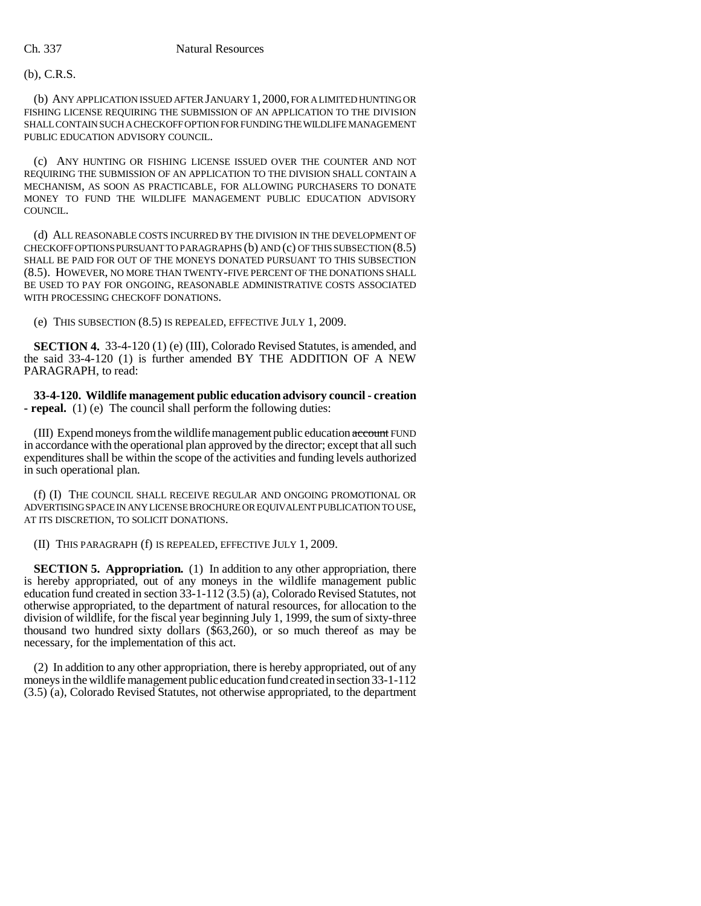## (b), C.R.S.

(b) ANY APPLICATION ISSUED AFTER JANUARY 1, 2000, FOR A LIMITED HUNTING OR FISHING LICENSE REQUIRING THE SUBMISSION OF AN APPLICATION TO THE DIVISION SHALL CONTAIN SUCH A CHECKOFF OPTION FOR FUNDING THE WILDLIFE MANAGEMENT PUBLIC EDUCATION ADVISORY COUNCIL.

(c) ANY HUNTING OR FISHING LICENSE ISSUED OVER THE COUNTER AND NOT REQUIRING THE SUBMISSION OF AN APPLICATION TO THE DIVISION SHALL CONTAIN A MECHANISM, AS SOON AS PRACTICABLE, FOR ALLOWING PURCHASERS TO DONATE MONEY TO FUND THE WILDLIFE MANAGEMENT PUBLIC EDUCATION ADVISORY COUNCIL.

(d) ALL REASONABLE COSTS INCURRED BY THE DIVISION IN THE DEVELOPMENT OF CHECKOFF OPTIONS PURSUANT TO PARAGRAPHS (b) AND (c) OF THIS SUBSECTION (8.5) SHALL BE PAID FOR OUT OF THE MONEYS DONATED PURSUANT TO THIS SUBSECTION (8.5). HOWEVER, NO MORE THAN TWENTY-FIVE PERCENT OF THE DONATIONS SHALL BE USED TO PAY FOR ONGOING, REASONABLE ADMINISTRATIVE COSTS ASSOCIATED WITH PROCESSING CHECKOFF DONATIONS.

(e) THIS SUBSECTION (8.5) IS REPEALED, EFFECTIVE JULY 1, 2009.

**SECTION 4.** 33-4-120 (1) (e) (III), Colorado Revised Statutes, is amended, and the said 33-4-120 (1) is further amended BY THE ADDITION OF A NEW PARAGRAPH, to read:

**33-4-120. Wildlife management public education advisory council - creation - repeal.** (1) (e) The council shall perform the following duties:

(III) Expend moneys from the wildlife management public education account FUND in accordance with the operational plan approved by the director; except that all such expenditures shall be within the scope of the activities and funding levels authorized in such operational plan.

(f) (I) THE COUNCIL SHALL RECEIVE REGULAR AND ONGOING PROMOTIONAL OR ADVERTISING SPACE IN ANY LICENSE BROCHURE OR EQUIVALENT PUBLICATION TO USE, AT ITS DISCRETION, TO SOLICIT DONATIONS.

(II) THIS PARAGRAPH (f) IS REPEALED, EFFECTIVE JULY 1, 2009.

**SECTION 5. Appropriation.** (1) In addition to any other appropriation, there is hereby appropriated, out of any moneys in the wildlife management public education fund created in section 33-1-112 (3.5) (a), Colorado Revised Statutes, not otherwise appropriated, to the department of natural resources, for allocation to the division of wildlife, for the fiscal year beginning July 1, 1999, the sum of sixty-three thousand two hundred sixty dollars (\$63,260), or so much thereof as may be necessary, for the implementation of this act.

(2) In addition to any other appropriation, there is hereby appropriated, out of any moneys in the wildlife management public education fund created in section 33-1-112 (3.5) (a), Colorado Revised Statutes, not otherwise appropriated, to the department